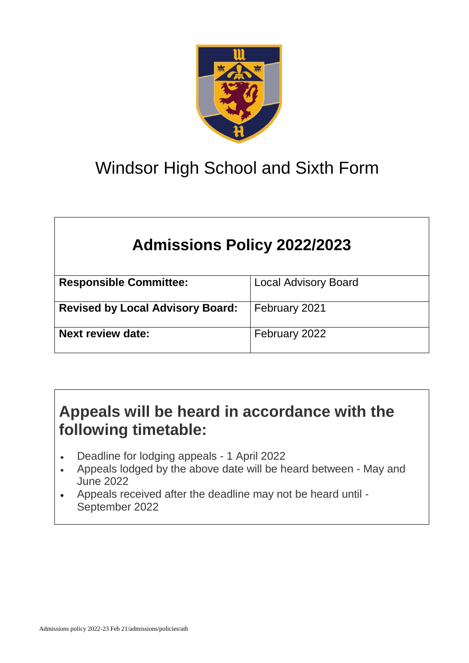

# Windsor High School and Sixth Form

## **Admissions Policy 2022/2023**

| <b>Responsible Committee:</b>           | <b>Local Advisory Board</b> |
|-----------------------------------------|-----------------------------|
|                                         |                             |
| <b>Revised by Local Advisory Board:</b> | February 2021               |
|                                         |                             |
| <b>Next review date:</b>                | February 2022               |
|                                         |                             |

## **Appeals will be heard in accordance with the following timetable:**

- Deadline for lodging appeals 1 April 2022
- Appeals lodged by the above date will be heard between May and June 2022
- Appeals received after the deadline may not be heard until September 2022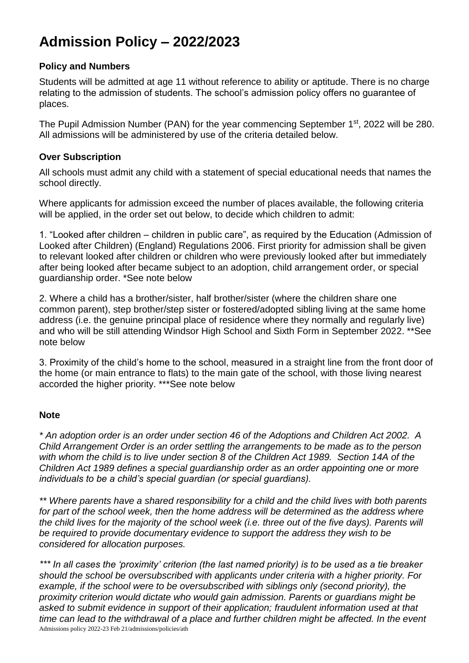### **Admission Policy – 2022/2023**

#### **Policy and Numbers**

Students will be admitted at age 11 without reference to ability or aptitude. There is no charge relating to the admission of students. The school's admission policy offers no guarantee of places.

The Pupil Admission Number (PAN) for the year commencing September 1<sup>st</sup>, 2022 will be 280. All admissions will be administered by use of the criteria detailed below.

#### **Over Subscription**

All schools must admit any child with a statement of special educational needs that names the school directly.

Where applicants for admission exceed the number of places available, the following criteria will be applied, in the order set out below, to decide which children to admit:

1. "Looked after children – children in public care", as required by the Education (Admission of Looked after Children) (England) Regulations 2006. First priority for admission shall be given to relevant looked after children or children who were previously looked after but immediately after being looked after became subject to an adoption, child arrangement order, or special guardianship order. \*See note below

2. Where a child has a brother/sister, half brother/sister (where the children share one common parent), step brother/step sister or fostered/adopted sibling living at the same home address (i.e. the genuine principal place of residence where they normally and regularly live) and who will be still attending Windsor High School and Sixth Form in September 2022. \*\*See note below

3. Proximity of the child's home to the school, measured in a straight line from the front door of the home (or main entrance to flats) to the main gate of the school, with those living nearest accorded the higher priority. \*\*\*See note below

#### **Note**

*\* An adoption order is an order under section 46 of the Adoptions and Children Act 2002. A Child Arrangement Order is an order settling the arrangements to be made as to the person with whom the child is to live under section 8 of the Children Act 1989. Section 14A of the Children Act 1989 defines a special guardianship order as an order appointing one or more individuals to be a child's special guardian (or special guardians).*

*\*\* Where parents have a shared responsibility for a child and the child lives with both parents for part of the school week, then the home address will be determined as the address where the child lives for the majority of the school week (i.e. three out of the five days). Parents will be required to provide documentary evidence to support the address they wish to be considered for allocation purposes.*

Admissions policy 2022-23 Feb 21/admissions/policies/ath *\*\*\* In all cases the 'proximity' criterion (the last named priority) is to be used as a tie breaker should the school be oversubscribed with applicants under criteria with a higher priority. For example, if the school were to be oversubscribed with siblings only (second priority), the proximity criterion would dictate who would gain admission. Parents or guardians might be asked to submit evidence in support of their application; fraudulent information used at that time can lead to the withdrawal of a place and further children might be affected. In the event*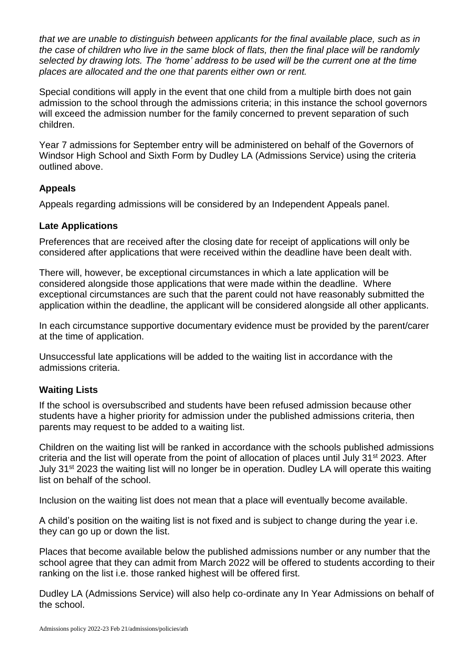*that we are unable to distinguish between applicants for the final available place, such as in the case of children who live in the same block of flats, then the final place will be randomly selected by drawing lots. The 'home' address to be used will be the current one at the time places are allocated and the one that parents either own or rent.*

Special conditions will apply in the event that one child from a multiple birth does not gain admission to the school through the admissions criteria; in this instance the school governors will exceed the admission number for the family concerned to prevent separation of such children.

Year 7 admissions for September entry will be administered on behalf of the Governors of Windsor High School and Sixth Form by Dudley LA (Admissions Service) using the criteria outlined above.

#### **Appeals**

Appeals regarding admissions will be considered by an Independent Appeals panel.

#### **Late Applications**

Preferences that are received after the closing date for receipt of applications will only be considered after applications that were received within the deadline have been dealt with.

There will, however, be exceptional circumstances in which a late application will be considered alongside those applications that were made within the deadline. Where exceptional circumstances are such that the parent could not have reasonably submitted the application within the deadline, the applicant will be considered alongside all other applicants.

In each circumstance supportive documentary evidence must be provided by the parent/carer at the time of application.

Unsuccessful late applications will be added to the waiting list in accordance with the admissions criteria.

#### **Waiting Lists**

If the school is oversubscribed and students have been refused admission because other students have a higher priority for admission under the published admissions criteria, then parents may request to be added to a waiting list.

Children on the waiting list will be ranked in accordance with the schools published admissions criteria and the list will operate from the point of allocation of places until July 31<sup>st</sup> 2023. After July 31<sup>st</sup> 2023 the waiting list will no longer be in operation. Dudley LA will operate this waiting list on behalf of the school.

Inclusion on the waiting list does not mean that a place will eventually become available.

A child's position on the waiting list is not fixed and is subject to change during the year i.e. they can go up or down the list.

Places that become available below the published admissions number or any number that the school agree that they can admit from March 2022 will be offered to students according to their ranking on the list i.e. those ranked highest will be offered first.

Dudley LA (Admissions Service) will also help co-ordinate any In Year Admissions on behalf of the school.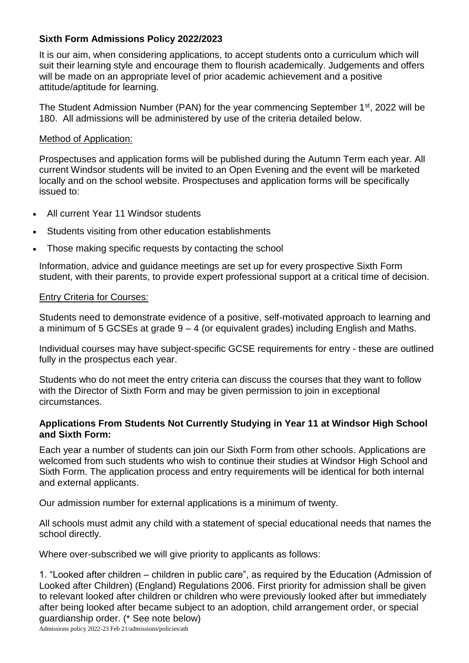#### **Sixth Form Admissions Policy 2022/2023**

It is our aim, when considering applications, to accept students onto a curriculum which will suit their learning style and encourage them to flourish academically. Judgements and offers will be made on an appropriate level of prior academic achievement and a positive attitude/aptitude for learning.

The Student Admission Number (PAN) for the year commencing September 1<sup>st</sup>, 2022 will be 180. All admissions will be administered by use of the criteria detailed below.

#### Method of Application:

Prospectuses and application forms will be published during the Autumn Term each year. All current Windsor students will be invited to an Open Evening and the event will be marketed locally and on the school website. Prospectuses and application forms will be specifically issued to:

- All current Year 11 Windsor students
- Students visiting from other education establishments
- Those making specific requests by contacting the school

Information, advice and guidance meetings are set up for every prospective Sixth Form student, with their parents, to provide expert professional support at a critical time of decision.

#### Entry Criteria for Courses:

Students need to demonstrate evidence of a positive, self-motivated approach to learning and a minimum of 5 GCSEs at grade  $9 - 4$  (or equivalent grades) including English and Maths.

Individual courses may have subject-specific GCSE requirements for entry - these are outlined fully in the prospectus each year.

Students who do not meet the entry criteria can discuss the courses that they want to follow with the Director of Sixth Form and may be given permission to join in exceptional circumstances.

#### **Applications From Students Not Currently Studying in Year 11 at Windsor High School and Sixth Form:**

Each year a number of students can join our Sixth Form from other schools. Applications are welcomed from such students who wish to continue their studies at Windsor High School and Sixth Form. The application process and entry requirements will be identical for both internal and external applicants.

Our admission number for external applications is a minimum of twenty.

All schools must admit any child with a statement of special educational needs that names the school directly.

Where over-subscribed we will give priority to applicants as follows: